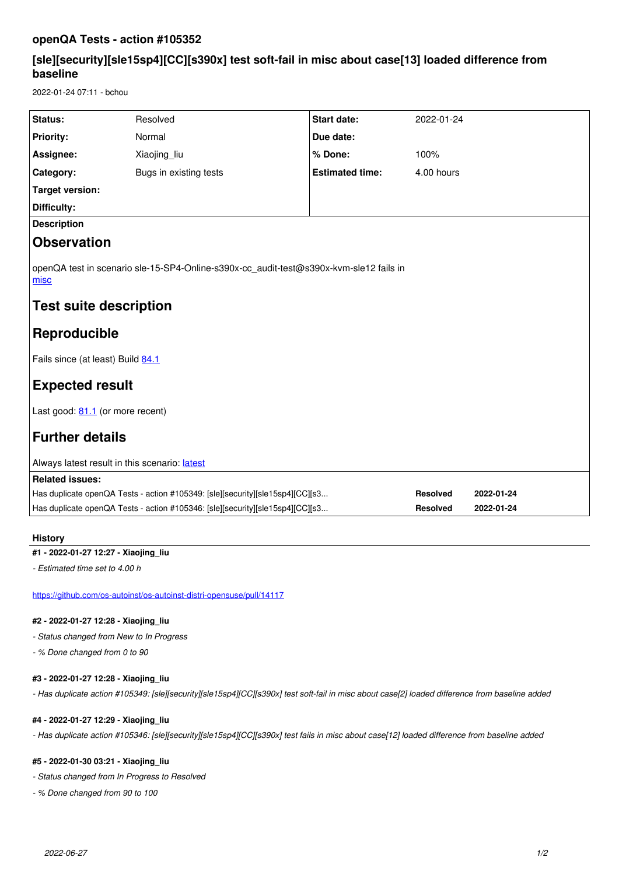# **openQA Tests - action #105352**

# **[sle][security][sle15sp4][CC][s390x] test soft-fail in misc about case[13] loaded difference from baseline**

2022-01-24 07:11 - bchou

| Status:                                                                                                        | Resolved               | Start date:            | 2022-01-24      |            |
|----------------------------------------------------------------------------------------------------------------|------------------------|------------------------|-----------------|------------|
| <b>Priority:</b>                                                                                               | Normal                 | Due date:              |                 |            |
| Assignee:                                                                                                      | Xiaojing liu           | % Done:                | 100%            |            |
| Category:                                                                                                      | Bugs in existing tests | <b>Estimated time:</b> | 4.00 hours      |            |
| <b>Target version:</b>                                                                                         |                        |                        |                 |            |
| <b>Difficulty:</b>                                                                                             |                        |                        |                 |            |
| <b>Description</b>                                                                                             |                        |                        |                 |            |
| <b>Observation</b>                                                                                             |                        |                        |                 |            |
| openQA test in scenario sle-15-SP4-Online-s390x-cc audit-test@s390x-kvm-sle12 fails in<br><u>misc</u>          |                        |                        |                 |            |
| Test suite description                                                                                         |                        |                        |                 |            |
| <b>Reproducible</b>                                                                                            |                        |                        |                 |            |
| Fails since (at least) Build 84.1                                                                              |                        |                        |                 |            |
| <b>Expected result</b>                                                                                         |                        |                        |                 |            |
| Last good: 81.1 (or more recent)                                                                               |                        |                        |                 |            |
| <b>Further details</b>                                                                                         |                        |                        |                 |            |
| Always latest result in this scenario: latest                                                                  |                        |                        |                 |            |
| <b>Related issues:</b>                                                                                         |                        |                        |                 |            |
| Has duplicate openQA Tests - action #105349: [sle][security][sle15sp4][CC][s3<br><b>Resolved</b><br>2022-01-24 |                        |                        |                 |            |
| Has duplicate openQA Tests - action #105346: [sle][security][sle15sp4][CC][s3                                  |                        |                        | <b>Resolved</b> | 2022-01-24 |
|                                                                                                                |                        |                        |                 |            |

# **History**

## **#1 - 2022-01-27 12:27 - Xiaojing\_liu**

*- Estimated time set to 4.00 h*

<https://github.com/os-autoinst/os-autoinst-distri-opensuse/pull/14117>

#### **#2 - 2022-01-27 12:28 - Xiaojing\_liu**

*- Status changed from New to In Progress*

*- % Done changed from 0 to 90*

#### **#3 - 2022-01-27 12:28 - Xiaojing\_liu**

*- Has duplicate action #105349: [sle][security][sle15sp4][CC][s390x] test soft-fail in misc about case[2] loaded difference from baseline added*

## **#4 - 2022-01-27 12:29 - Xiaojing\_liu**

*- Has duplicate action #105346: [sle][security][sle15sp4][CC][s390x] test fails in misc about case[12] loaded difference from baseline added*

# **#5 - 2022-01-30 03:21 - Xiaojing\_liu**

*- Status changed from In Progress to Resolved*

*- % Done changed from 90 to 100*